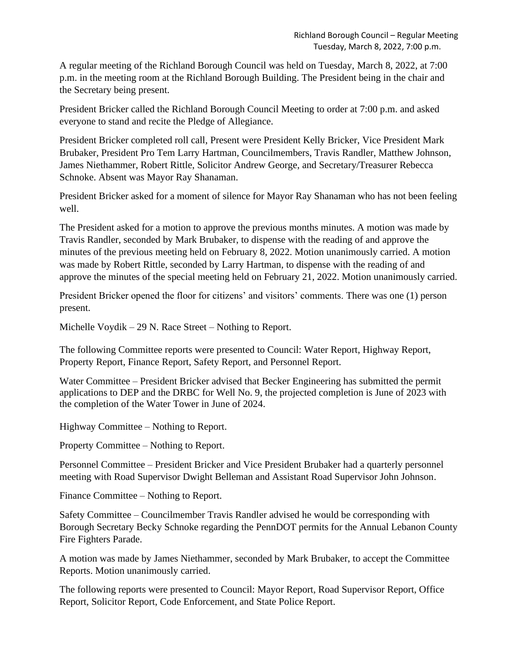A regular meeting of the Richland Borough Council was held on Tuesday, March 8, 2022, at 7:00 p.m. in the meeting room at the Richland Borough Building. The President being in the chair and the Secretary being present.

President Bricker called the Richland Borough Council Meeting to order at 7:00 p.m. and asked everyone to stand and recite the Pledge of Allegiance.

President Bricker completed roll call, Present were President Kelly Bricker, Vice President Mark Brubaker, President Pro Tem Larry Hartman, Councilmembers, Travis Randler, Matthew Johnson, James Niethammer, Robert Rittle, Solicitor Andrew George, and Secretary/Treasurer Rebecca Schnoke. Absent was Mayor Ray Shanaman.

President Bricker asked for a moment of silence for Mayor Ray Shanaman who has not been feeling well.

The President asked for a motion to approve the previous months minutes. A motion was made by Travis Randler, seconded by Mark Brubaker, to dispense with the reading of and approve the minutes of the previous meeting held on February 8, 2022. Motion unanimously carried. A motion was made by Robert Rittle, seconded by Larry Hartman, to dispense with the reading of and approve the minutes of the special meeting held on February 21, 2022. Motion unanimously carried.

President Bricker opened the floor for citizens' and visitors' comments. There was one (1) person present.

Michelle Voydik – 29 N. Race Street – Nothing to Report.

The following Committee reports were presented to Council: Water Report, Highway Report, Property Report, Finance Report, Safety Report, and Personnel Report.

Water Committee – President Bricker advised that Becker Engineering has submitted the permit applications to DEP and the DRBC for Well No. 9, the projected completion is June of 2023 with the completion of the Water Tower in June of 2024.

Highway Committee – Nothing to Report.

Property Committee – Nothing to Report.

Personnel Committee – President Bricker and Vice President Brubaker had a quarterly personnel meeting with Road Supervisor Dwight Belleman and Assistant Road Supervisor John Johnson.

Finance Committee – Nothing to Report.

Safety Committee – Councilmember Travis Randler advised he would be corresponding with Borough Secretary Becky Schnoke regarding the PennDOT permits for the Annual Lebanon County Fire Fighters Parade.

A motion was made by James Niethammer, seconded by Mark Brubaker, to accept the Committee Reports. Motion unanimously carried.

The following reports were presented to Council: Mayor Report, Road Supervisor Report, Office Report, Solicitor Report, Code Enforcement, and State Police Report.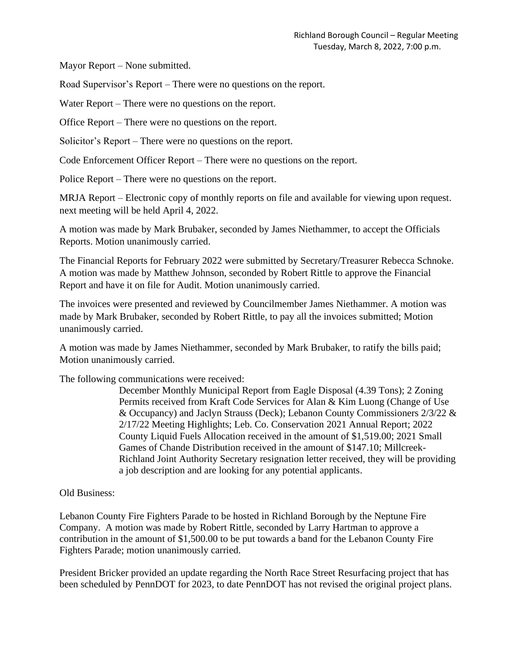Mayor Report – None submitted.

Road Supervisor's Report – There were no questions on the report.

Water Report – There were no questions on the report.

Office Report – There were no questions on the report.

Solicitor's Report – There were no questions on the report.

Code Enforcement Officer Report – There were no questions on the report.

Police Report – There were no questions on the report.

MRJA Report – Electronic copy of monthly reports on file and available for viewing upon request. next meeting will be held April 4, 2022.

A motion was made by Mark Brubaker, seconded by James Niethammer, to accept the Officials Reports. Motion unanimously carried.

The Financial Reports for February 2022 were submitted by Secretary/Treasurer Rebecca Schnoke. A motion was made by Matthew Johnson, seconded by Robert Rittle to approve the Financial Report and have it on file for Audit. Motion unanimously carried.

The invoices were presented and reviewed by Councilmember James Niethammer. A motion was made by Mark Brubaker, seconded by Robert Rittle, to pay all the invoices submitted; Motion unanimously carried.

A motion was made by James Niethammer, seconded by Mark Brubaker, to ratify the bills paid; Motion unanimously carried.

The following communications were received:

December Monthly Municipal Report from Eagle Disposal (4.39 Tons); 2 Zoning Permits received from Kraft Code Services for Alan & Kim Luong (Change of Use & Occupancy) and Jaclyn Strauss (Deck); Lebanon County Commissioners 2/3/22 & 2/17/22 Meeting Highlights; Leb. Co. Conservation 2021 Annual Report; 2022 County Liquid Fuels Allocation received in the amount of \$1,519.00; 2021 Small Games of Chande Distribution received in the amount of \$147.10; Millcreek-Richland Joint Authority Secretary resignation letter received, they will be providing a job description and are looking for any potential applicants.

## Old Business:

Lebanon County Fire Fighters Parade to be hosted in Richland Borough by the Neptune Fire Company. A motion was made by Robert Rittle, seconded by Larry Hartman to approve a contribution in the amount of \$1,500.00 to be put towards a band for the Lebanon County Fire Fighters Parade; motion unanimously carried.

President Bricker provided an update regarding the North Race Street Resurfacing project that has been scheduled by PennDOT for 2023, to date PennDOT has not revised the original project plans.